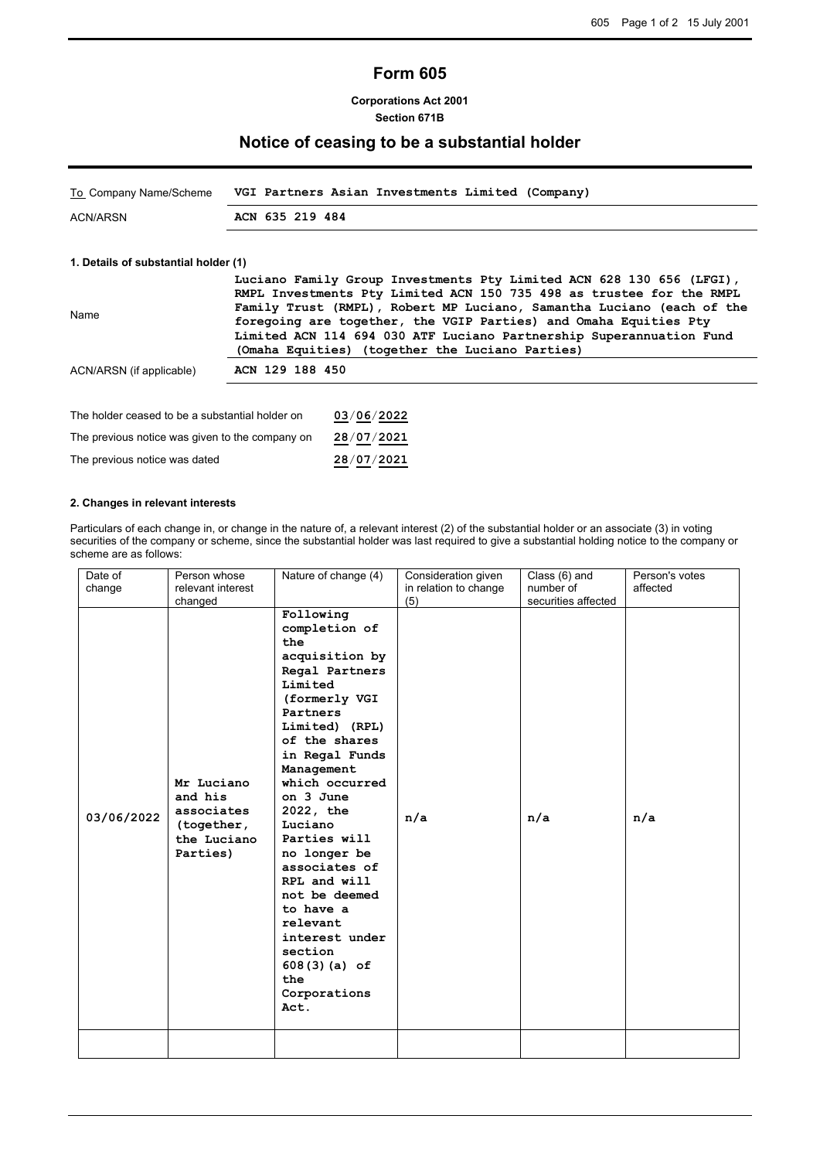# **Form 605**

**Corporations Act 2001 Section 671B**

## **Notice of ceasing to be a substantial holder**

| To Company Name/Scheme | VGI Partners Asian Investments Limited (Company) |
|------------------------|--------------------------------------------------|
| ACN/ARSN               | ACN 635 219 484                                  |

### **1. Details of substantial holder (1)**

|                          | Luciano Family Group Investments Pty Limited ACN 628 130 656 (LFGI),  |
|--------------------------|-----------------------------------------------------------------------|
|                          | RMPL Investments Pty Limited ACN 150 735 498 as trustee for the RMPL  |
| Name                     | Family Trust (RMPL), Robert MP Luciano, Samantha Luciano (each of the |
|                          | foregoing are together, the VGIP Parties) and Omaha Equities Pty      |
|                          | Limited ACN 114 694 030 ATF Luciano Partnership Superannuation Fund   |
|                          | (Omaha Equities) (together the Luciano Parties)                       |
| ACN/ARSN (if applicable) | ACN 129 188 450                                                       |
|                          |                                                                       |

| The holder ceased to be a substantial holder on | 03/06/2022 |
|-------------------------------------------------|------------|
| The previous notice was given to the company on | 28/07/2021 |
| The previous notice was dated                   | 28/07/2021 |

#### **2. Changes in relevant interests**

Particulars of each change in, or change in the nature of, a relevant interest (2) of the substantial holder or an associate (3) in voting securities of the company or scheme, since the substantial holder was last required to give a substantial holding notice to the company or scheme are as follows:

| Date of<br>change | Person whose<br>relevant interest                                            | Nature of change (4)                                                                                                                                                                                                                                                                                                                                                                                                             | Consideration given<br>in relation to change | Class (6) and<br>number of | Person's votes<br>affected |
|-------------------|------------------------------------------------------------------------------|----------------------------------------------------------------------------------------------------------------------------------------------------------------------------------------------------------------------------------------------------------------------------------------------------------------------------------------------------------------------------------------------------------------------------------|----------------------------------------------|----------------------------|----------------------------|
|                   | changed                                                                      |                                                                                                                                                                                                                                                                                                                                                                                                                                  | (5)                                          | securities affected        |                            |
| 03/06/2022        | Mr Luciano<br>and his<br>associates<br>(together,<br>the Luciano<br>Parties) | Following<br>completion of<br>the<br>acquisition by<br>Regal Partners<br>Limited<br>(formerly VGI<br>Partners<br>Limited) (RPL)<br>of the shares<br>in Regal Funds<br>Management<br>which occurred<br>on 3 June<br>2022, the<br>Luciano<br>Parties will<br>no longer be<br>associates of<br>RPL and will<br>not be deemed<br>to have a<br>relevant<br>interest under<br>section<br>$608(3)(a)$ of<br>the<br>Corporations<br>Act. | n/a                                          | n/a                        | n/a                        |
|                   |                                                                              |                                                                                                                                                                                                                                                                                                                                                                                                                                  |                                              |                            |                            |